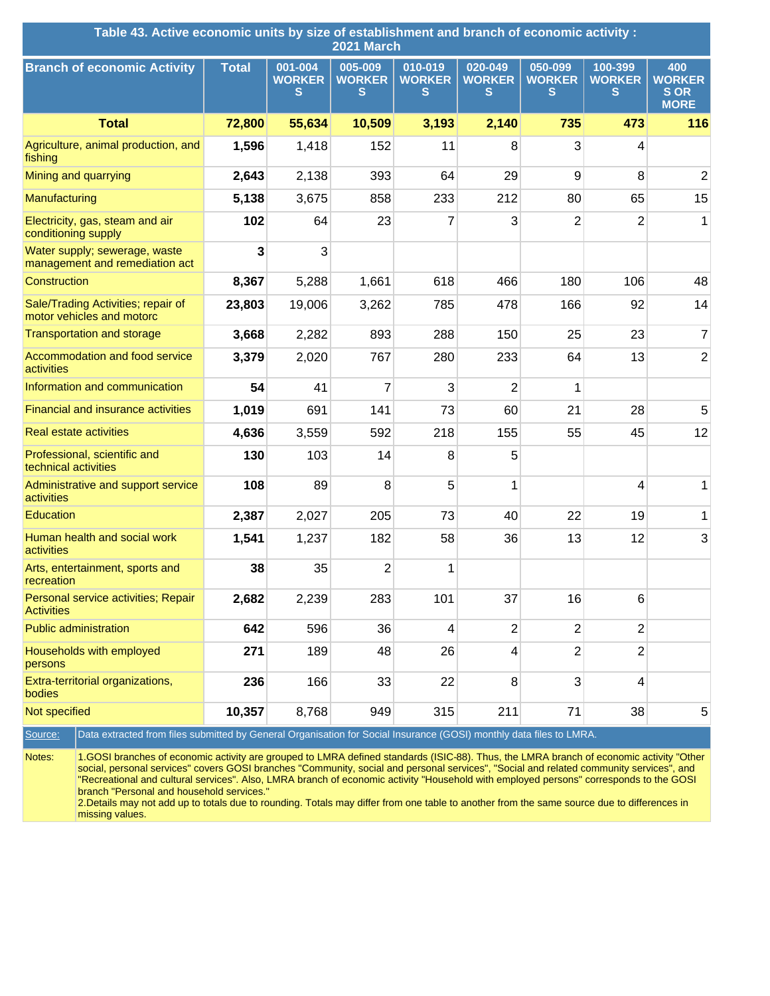| Table 43. Active economic units by size of establishment and branch of economic activity :<br>2021 March                                          |              |                               |                               |                               |                               |                               |                               |                                                   |
|---------------------------------------------------------------------------------------------------------------------------------------------------|--------------|-------------------------------|-------------------------------|-------------------------------|-------------------------------|-------------------------------|-------------------------------|---------------------------------------------------|
| <b>Branch of economic Activity</b>                                                                                                                | <b>Total</b> | 001-004<br><b>WORKER</b><br>s | 005-009<br><b>WORKER</b><br>S | 010-019<br><b>WORKER</b><br>s | 020-049<br><b>WORKER</b><br>S | 050-099<br><b>WORKER</b><br>s | 100-399<br><b>WORKER</b><br>S | 400<br><b>WORKER</b><br><b>SOR</b><br><b>MORE</b> |
| <b>Total</b>                                                                                                                                      | 72,800       | 55,634                        | 10,509                        | 3,193                         | 2,140                         | 735                           | 473                           | 116                                               |
| Agriculture, animal production, and<br>fishing                                                                                                    | 1,596        | 1,418                         | 152                           | 11                            | 8                             | 3                             | 4                             |                                                   |
| Mining and quarrying                                                                                                                              | 2,643        | 2,138                         | 393                           | 64                            | 29                            | 9                             | 8                             | $\overline{2}$                                    |
| Manufacturing                                                                                                                                     | 5,138        | 3,675                         | 858                           | 233                           | 212                           | 80                            | 65                            | 15                                                |
| Electricity, gas, steam and air<br>conditioning supply                                                                                            | 102          | 64                            | 23                            | 7                             | 3                             | $\overline{2}$                | $\overline{2}$                | 1                                                 |
| Water supply; sewerage, waste<br>management and remediation act                                                                                   | 3            | 3                             |                               |                               |                               |                               |                               |                                                   |
| Construction                                                                                                                                      | 8,367        | 5,288                         | 1,661                         | 618                           | 466                           | 180                           | 106                           | 48                                                |
| Sale/Trading Activities; repair of<br>motor vehicles and motorc                                                                                   | 23,803       | 19,006                        | 3,262                         | 785                           | 478                           | 166                           | 92                            | 14                                                |
| <b>Transportation and storage</b>                                                                                                                 | 3,668        | 2,282                         | 893                           | 288                           | 150                           | 25                            | 23                            | $\overline{7}$                                    |
| Accommodation and food service<br>activities                                                                                                      | 3,379        | 2,020                         | 767                           | 280                           | 233                           | 64                            | 13                            | $\overline{2}$                                    |
| Information and communication                                                                                                                     | 54           | 41                            | 7                             | 3                             | $\overline{2}$                | 1                             |                               |                                                   |
| <b>Financial and insurance activities</b>                                                                                                         | 1,019        | 691                           | 141                           | 73                            | 60                            | 21                            | 28                            | 5                                                 |
| <b>Real estate activities</b>                                                                                                                     | 4,636        | 3,559                         | 592                           | 218                           | 155                           | 55                            | 45                            | 12                                                |
| Professional, scientific and<br>technical activities                                                                                              | 130          | 103                           | 14                            | 8                             | 5                             |                               |                               |                                                   |
| Administrative and support service<br>activities                                                                                                  | 108          | 89                            | 8                             | 5                             | 1                             |                               | 4                             | 1                                                 |
| Education                                                                                                                                         | 2,387        | 2,027                         | 205                           | 73                            | 40                            | 22                            | 19                            | 1                                                 |
| Human health and social work<br>activities                                                                                                        | 1,541        | 1,237                         | 182                           | 58                            | 36                            | 13                            | 12                            | 3                                                 |
| Arts, entertainment, sports and<br>recreation                                                                                                     | 38           | 35                            | $\overline{2}$                | 1                             |                               |                               |                               |                                                   |
| Personal service activities; Repair<br><b>Activities</b>                                                                                          | 2,682        | 2,239                         | 283                           | 101                           | 37                            | 16                            | 6                             |                                                   |
| <b>Public administration</b>                                                                                                                      | 642          | 596                           | 36                            | 4                             | $\overline{2}$                | $\overline{2}$                | $\overline{2}$                |                                                   |
| Households with employed<br>persons                                                                                                               | 271          | 189                           | 48                            | 26                            | 4                             | $\overline{2}$                | $\overline{2}$                |                                                   |
| Extra-territorial organizations,<br>bodies                                                                                                        | 236          | 166                           | 33                            | 22                            | 8                             | 3                             | $\overline{\mathbf{4}}$       |                                                   |
| Not specified                                                                                                                                     | 10,357       | 8,768                         | 949                           | 315                           | 211                           | 71                            | 38                            | 5                                                 |
| Data extracted from files submitted by General Organisation for Social Insurance (GOSI) monthly data files to LMRA.<br>Source:                    |              |                               |                               |                               |                               |                               |                               |                                                   |
| Notes:<br>1.GOSI branches of economic activity are grouped to LMRA defined standards (ISIC-88). Thus, the LMRA branch of economic activity "Other |              |                               |                               |                               |                               |                               |                               |                                                   |

social, personal services" covers GOSI branches "Community, social and personal services", "Social and related community services", and "Recreational and cultural services". Also, LMRA branch of economic activity "Household with employed persons" corresponds to the GOSI branch "Personal and household services."

2.Details may not add up to totals due to rounding. Totals may differ from one table to another from the same source due to differences in missing values.